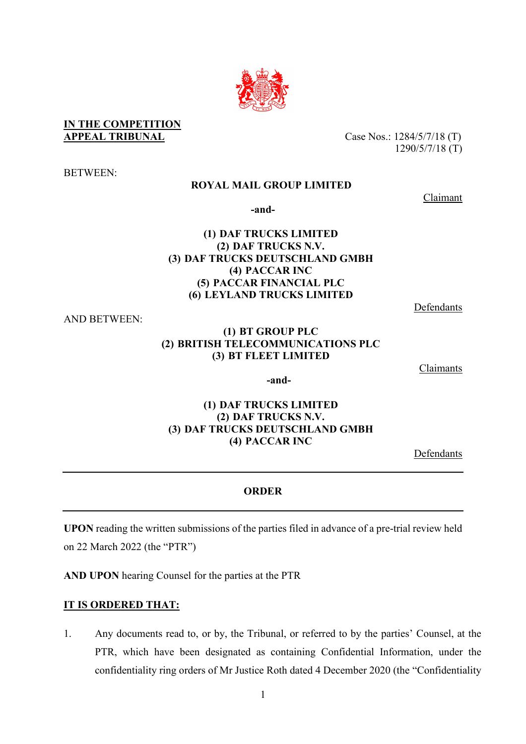## **IN THE COMPETITION APPEAL TRIBUNAL** Case Nos.: 1284/5/7/18 (T)

BETWEEN:

# **ROYAL MAIL GROUP LIMITED**

**-and-**

# **(1) DAF TRUCKS LIMITED (2) DAF TRUCKS N.V. (3) DAF TRUCKS DEUTSCHLAND GMBH (4) PACCAR INC (5) PACCAR FINANCIAL PLC (6) LEYLAND TRUCKS LIMITED**

AND BETWEEN:

## **(1) BT GROUP PLC (2) BRITISH TELECOMMUNICATIONS PLC (3) BT FLEET LIMITED**

**Claimants** 

**(1) DAF TRUCKS LIMITED (2) DAF TRUCKS N.V. (3) DAF TRUCKS DEUTSCHLAND GMBH (4) PACCAR INC**

**-and-**

Defendants

## **ORDER**

**UPON** reading the written submissions of the parties filed in advance of a pre-trial review held on 22 March 2022 (the "PTR")

**AND UPON** hearing Counsel for the parties at the PTR

## **IT IS ORDERED THAT:**

1. Any documents read to, or by, the Tribunal, or referred to by the parties' Counsel, at the PTR, which have been designated as containing Confidential Information, under the confidentiality ring orders of Mr Justice Roth dated 4 December 2020 (the "Confidentiality



1290/5/7/18 (T)

Claimant

Defendants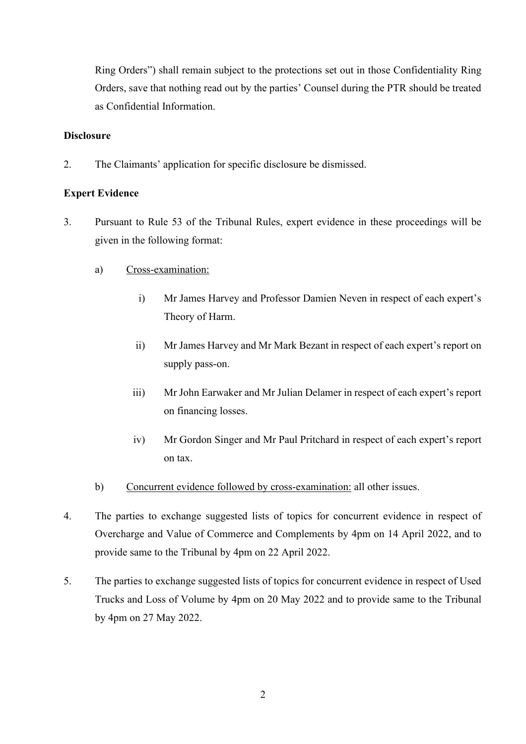Ring Orders") shall remain subject to the protections set out in those Confidentiality Ring Orders, save that nothing read out by the parties' Counsel during the PTR should be treated as Confidential Information.

#### **Disclosure**

2. The Claimants' application for specific disclosure be dismissed.

## **Expert Evidence**

- 3. Pursuant to Rule 53 of the Tribunal Rules, expert evidence in these proceedings will be given in the following format:
	- a) Cross-examination:
		- i) Mr James Harvey and Professor Damien Neven in respect of each expert's Theory of Harm.
		- ii) Mr James Harvey and Mr Mark Bezant in respect of each expert's report on supply pass-on.
		- iii) Mr John Earwaker and Mr Julian Delamer in respect of each expert's report on financing losses.
		- iv) Mr Gordon Singer and Mr Paul Pritchard in respect of each expert's report on tax.
	- b) Concurrent evidence followed by cross-examination: all other issues.
- 4. The parties to exchange suggested lists of topics for concurrent evidence in respect of Overcharge and Value of Commerce and Complements by 4pm on 14 April 2022, and to provide same to the Tribunal by 4pm on 22 April 2022.
- 5. The parties to exchange suggested lists of topics for concurrent evidence in respect of Used Trucks and Loss of Volume by 4pm on 20 May 2022 and to provide same to the Tribunal by 4pm on 27 May 2022.